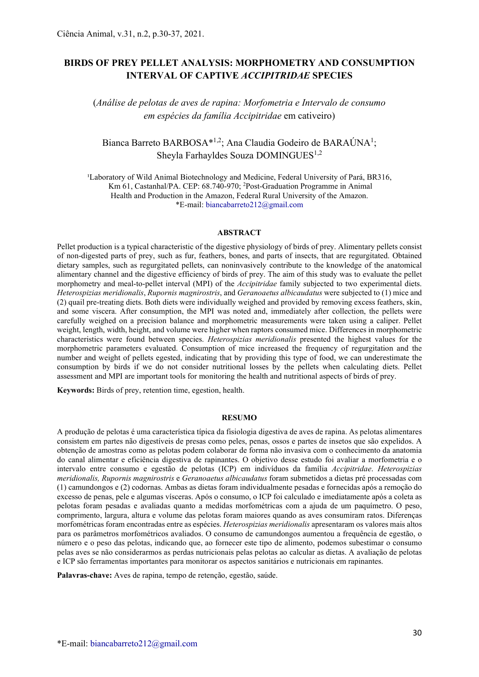# BIRDS OF PREY PELLET ANALYSIS: MORPHOMETRY AND CONSUMPTION INTERVAL OF CAPTIVE ACCIPITRIDAE SPECIES

(Análise de pelotas de aves de rapina: Morfometria e Intervalo de consumo em espécies da família Accipitridae em cativeiro)

## Bianca Barreto BARBOSA\*<sup>1,2</sup>; Ana Claudia Godeiro de BARAÚNA<sup>1</sup>; Sheyla Farhayldes Souza DOMINGUES<sup>1,2</sup>

<sup>1</sup>Laboratory of Wild Animal Biotechnology and Medicine, Federal University of Pará, BR316, Km 61, Castanhal/PA. CEP: 68.740-970; <sup>2</sup>Post-Graduation Programme in Animal Health and Production in the Amazon, Federal Rural University of the Amazon. \*E-mail: biancabarreto212@gmail.com

#### ABSTRACT

Pellet production is a typical characteristic of the digestive physiology of birds of prey. Alimentary pellets consist of non-digested parts of prey, such as fur, feathers, bones, and parts of insects, that are regurgitated. Obtained dietary samples, such as regurgitated pellets, can noninvasively contribute to the knowledge of the anatomical alimentary channel and the digestive efficiency of birds of prey. The aim of this study was to evaluate the pellet morphometry and meal-to-pellet interval (MPI) of the Accipitridae family subjected to two experimental diets. Heterospizias meridionalis, Rupornis magnirostris, and Geranoaetus albicaudatus were subjected to (1) mice and (2) quail pre-treating diets. Both diets were individually weighed and provided by removing excess feathers, skin, and some viscera. After consumption, the MPI was noted and, immediately after collection, the pellets were carefully weighed on a precision balance and morphometric measurements were taken using a caliper. Pellet weight, length, width, height, and volume were higher when raptors consumed mice. Differences in morphometric characteristics were found between species. Heterospizias meridionalis presented the highest values for the morphometric parameters evaluated. Consumption of mice increased the frequency of regurgitation and the number and weight of pellets egested, indicating that by providing this type of food, we can underestimate the consumption by birds if we do not consider nutritional losses by the pellets when calculating diets. Pellet assessment and MPI are important tools for monitoring the health and nutritional aspects of birds of prey.

Keywords: Birds of prey, retention time, egestion, health.

#### RESUMO

A produção de pelotas é uma característica típica da fisiologia digestiva de aves de rapina. As pelotas alimentares consistem em partes não digestíveis de presas como peles, penas, ossos e partes de insetos que são expelidos. A obtenção de amostras como as pelotas podem colaborar de forma não invasiva com o conhecimento da anatomia do canal alimentar e eficiência digestiva de rapinantes. O objetivo desse estudo foi avaliar a morfometria e o intervalo entre consumo e egestão de pelotas (ICP) em indivíduos da família Accipitridae. Heterospizias meridionalis, Rupornis magnirostris e Geranoaetus albicaudatus foram submetidos a dietas pré processadas com (1) camundongos e (2) codornas. Ambas as dietas foram individualmente pesadas e fornecidas após a remoção do excesso de penas, pele e algumas vísceras. Após o consumo, o ICP foi calculado e imediatamente após a coleta as pelotas foram pesadas e avaliadas quanto a medidas morfométricas com a ajuda de um paquímetro. O peso, comprimento, largura, altura e volume das pelotas foram maiores quando as aves consumiram ratos. Diferenças morfométricas foram encontradas entre as espécies. Heterospizias meridionalis apresentaram os valores mais altos para os parâmetros morfométricos avaliados. O consumo de camundongos aumentou a frequência de egestão, o número e o peso das pelotas, indicando que, ao fornecer este tipo de alimento, podemos subestimar o consumo pelas aves se não considerarmos as perdas nutricionais pelas pelotas ao calcular as dietas. A avaliação de pelotas e ICP são ferramentas importantes para monitorar os aspectos sanitários e nutricionais em rapinantes.

Palavras-chave: Aves de rapina, tempo de retenção, egestão, saúde.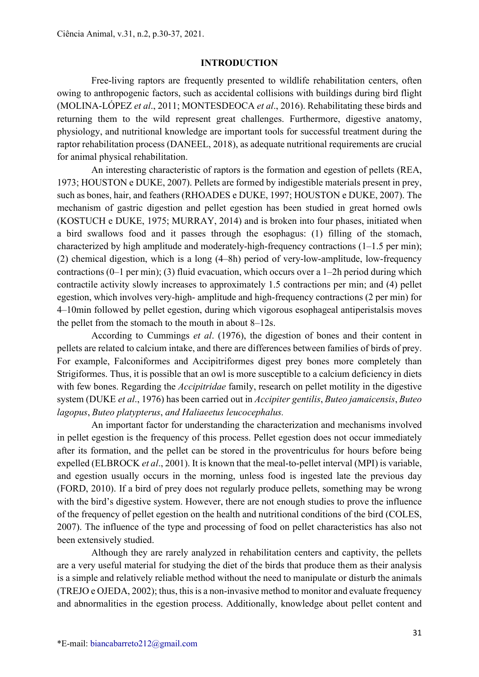#### INTRODUCTION

Free-living raptors are frequently presented to wildlife rehabilitation centers, often owing to anthropogenic factors, such as accidental collisions with buildings during bird flight (MOLINA-LÓPEZ et al., 2011; MONTESDEOCA et al., 2016). Rehabilitating these birds and returning them to the wild represent great challenges. Furthermore, digestive anatomy, physiology, and nutritional knowledge are important tools for successful treatment during the raptor rehabilitation process (DANEEL, 2018), as adequate nutritional requirements are crucial for animal physical rehabilitation.

An interesting characteristic of raptors is the formation and egestion of pellets (REA, 1973; HOUSTON e DUKE, 2007). Pellets are formed by indigestible materials present in prey, such as bones, hair, and feathers (RHOADES e DUKE, 1997; HOUSTON e DUKE, 2007). The mechanism of gastric digestion and pellet egestion has been studied in great horned owls (KOSTUCH e DUKE, 1975; MURRAY, 2014) and is broken into four phases, initiated when a bird swallows food and it passes through the esophagus: (1) filling of the stomach, characterized by high amplitude and moderately-high-frequency contractions (1–1.5 per min); (2) chemical digestion, which is a long (4–8h) period of very-low-amplitude, low-frequency contractions (0–1 per min); (3) fluid evacuation, which occurs over a 1–2h period during which contractile activity slowly increases to approximately 1.5 contractions per min; and (4) pellet egestion, which involves very-high- amplitude and high-frequency contractions (2 per min) for 4–10min followed by pellet egestion, during which vigorous esophageal antiperistalsis moves the pellet from the stomach to the mouth in about 8–12s.

According to Cummings et al. (1976), the digestion of bones and their content in pellets are related to calcium intake, and there are differences between families of birds of prey. For example, Falconiformes and Accipitriformes digest prey bones more completely than Strigiformes. Thus, it is possible that an owl is more susceptible to a calcium deficiency in diets with few bones. Regarding the *Accipitridae* family, research on pellet motility in the digestive system (DUKE et al., 1976) has been carried out in Accipiter gentilis, Buteo jamaicensis, Buteo lagopus, Buteo platypterus, and Haliaeetus leucocephalus.

An important factor for understanding the characterization and mechanisms involved in pellet egestion is the frequency of this process. Pellet egestion does not occur immediately after its formation, and the pellet can be stored in the proventriculus for hours before being expelled (ELBROCK *et al.*, 2001). It is known that the meal-to-pellet interval (MPI) is variable, and egestion usually occurs in the morning, unless food is ingested late the previous day (FORD, 2010). If a bird of prey does not regularly produce pellets, something may be wrong with the bird's digestive system. However, there are not enough studies to prove the influence of the frequency of pellet egestion on the health and nutritional conditions of the bird (COLES, 2007). The influence of the type and processing of food on pellet characteristics has also not been extensively studied.

Although they are rarely analyzed in rehabilitation centers and captivity, the pellets are a very useful material for studying the diet of the birds that produce them as their analysis is a simple and relatively reliable method without the need to manipulate or disturb the animals (TREJO e OJEDA, 2002); thus, this is a non-invasive method to monitor and evaluate frequency and abnormalities in the egestion process. Additionally, knowledge about pellet content and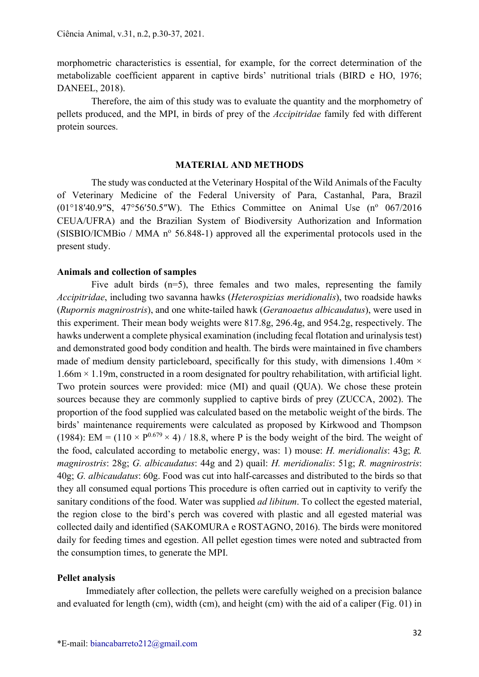morphometric characteristics is essential, for example, for the correct determination of the metabolizable coefficient apparent in captive birds' nutritional trials (BIRD e HO, 1976; DANEEL, 2018).

Therefore, the aim of this study was to evaluate the quantity and the morphometry of pellets produced, and the MPI, in birds of prey of the Accipitridae family fed with different protein sources.

#### MATERIAL AND METHODS

The study was conducted at the Veterinary Hospital of the Wild Animals of the Faculty of Veterinary Medicine of the Federal University of Para, Castanhal, Para, Brazil  $(01^{\circ}18'40.9''S, 47^{\circ}56'50.5''W)$ . The Ethics Committee on Animal Use  $(n^{\circ} 067/2016)$ CEUA/UFRA) and the Brazilian System of Biodiversity Authorization and Information  $(SISBIO/ICMBio / MMA n<sup>o</sup> 56.848-1)$  approved all the experimental protocols used in the present study.

### Animals and collection of samples

Five adult birds  $(n=5)$ , three females and two males, representing the family Accipitridae, including two savanna hawks (Heterospizias meridionalis), two roadside hawks (Rupornis magnirostris), and one white-tailed hawk (Geranoaetus albicaudatus), were used in this experiment. Their mean body weights were 817.8g, 296.4g, and 954.2g, respectively. The hawks underwent a complete physical examination (including fecal flotation and urinalysis test) and demonstrated good body condition and health. The birds were maintained in five chambers made of medium density particleboard, specifically for this study, with dimensions  $1.40m \times$ 1.66m × 1.19m, constructed in a room designated for poultry rehabilitation, with artificial light. Two protein sources were provided: mice (MI) and quail (QUA). We chose these protein sources because they are commonly supplied to captive birds of prey (ZUCCA, 2002). The proportion of the food supplied was calculated based on the metabolic weight of the birds. The birds' maintenance requirements were calculated as proposed by Kirkwood and Thompson (1984): EM = (110  $\times$  P<sup>0.679</sup>  $\times$  4) / 18.8, where P is the body weight of the bird. The weight of the food, calculated according to metabolic energy, was: 1) mouse: H. meridionalis: 43g; R. magnirostris: 28g; G. albicaudatus: 44g and 2) quail: H. meridionalis: 51g; R. magnirostris: 40g; G. albicaudatus: 60g. Food was cut into half-carcasses and distributed to the birds so that they all consumed equal portions This procedure is often carried out in captivity to verify the sanitary conditions of the food. Water was supplied *ad libitum*. To collect the egested material, the region close to the bird's perch was covered with plastic and all egested material was collected daily and identified (SAKOMURA e ROSTAGNO, 2016). The birds were monitored daily for feeding times and egestion. All pellet egestion times were noted and subtracted from the consumption times, to generate the MPI.

#### Pellet analysis

Immediately after collection, the pellets were carefully weighed on a precision balance and evaluated for length (cm), width (cm), and height (cm) with the aid of a caliper (Fig. 01) in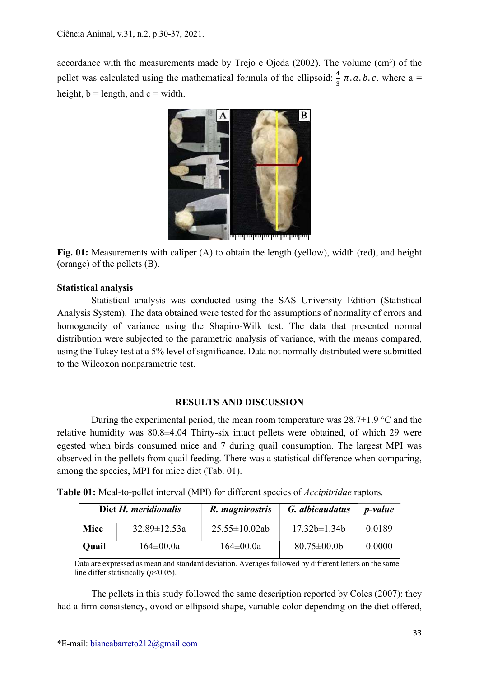accordance with the measurements made by Trejo e Ojeda  $(2002)$ . The volume  $(cm<sup>3</sup>)$  of the pellet was calculated using the mathematical formula of the ellipsoid:  $\frac{4}{3} \pi$ . *a. b. c.* where a = height,  $b =$  length, and  $c =$  width.



Fig. 01: Measurements with caliper (A) to obtain the length (yellow), width (red), and height (orange) of the pellets (B).

## Statistical analysis

Statistical analysis was conducted using the SAS University Edition (Statistical Analysis System). The data obtained were tested for the assumptions of normality of errors and homogeneity of variance using the Shapiro-Wilk test. The data that presented normal distribution were subjected to the parametric analysis of variance, with the means compared, using the Tukey test at a 5% level of significance. Data not normally distributed were submitted to the Wilcoxon nonparametric test.

### RESULTS AND DISCUSSION

During the experimental period, the mean room temperature was  $28.7\pm1.9$  °C and the relative humidity was 80.8±4.04 Thirty-six intact pellets were obtained, of which 29 were egested when birds consumed mice and 7 during quail consumption. The largest MPI was observed in the pellets from quail feeding. There was a statistical difference when comparing, among the species, MPI for mice diet (Tab. 01).

Table 01: Meal-to-pellet interval (MPI) for different species of *Accipitridae* raptors.

| Diet H. meridionalis |                    | R. magnirostris     | G. albicaudatus    | <i>p</i> -value |
|----------------------|--------------------|---------------------|--------------------|-----------------|
| <b>Mice</b>          | $32.89 \pm 12.53a$ | $25.55 \pm 10.02ab$ | $17.32b \pm 1.34b$ | 0.0189          |
| Ouail                | $164 \pm 00.0a$    | $164 \pm 00.0a$     | $80.75 \pm 00.0$   | 0.0000          |

Data are expressed as mean and standard deviation. Averages followed by different letters on the same line differ statistically  $(p<0.05)$ .

The pellets in this study followed the same description reported by Coles (2007): they had a firm consistency, ovoid or ellipsoid shape, variable color depending on the diet offered,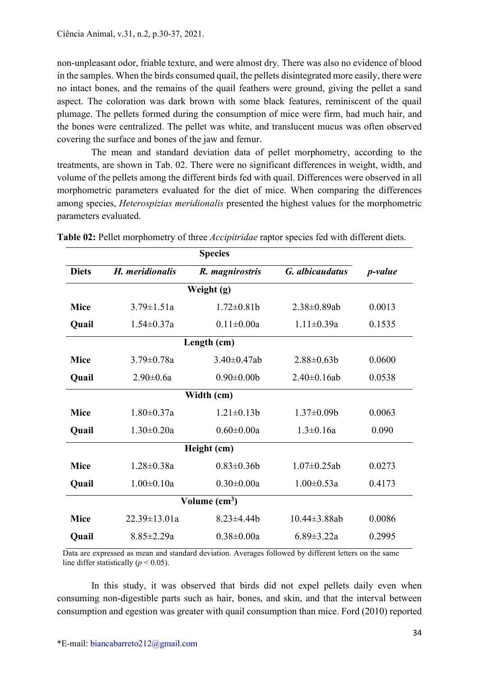non-unpleasant odor, friable texture, and were almost dry. There was also no evidence of blood in the samples. When the birds consumed quail, the pellets disintegrated more easily, there were no intact bones, and the remains of the quail feathers were ground, giving the pellet a sand aspect. The coloration was dark brown with some black features, reminiscent of the quail plumage. The pellets formed during the consumption of mice were firm, had much hair, and the bones were centralized. The pellet was white, and translucent mucus was often observed covering the surface and bones of the jaw and femur.

The mean and standard deviation data of pellet morphometry, according to the treatments, are shown in Tab. 02. There were no significant differences in weight, width, and volume of the pellets among the different birds fed with quail. Differences were observed in all morphometric parameters evaluated for the diet of mice. When comparing the differences among species, Heterospizias meridionalis presented the highest values for the morphometric parameters evaluated.

|                        | <b>Species</b>     |                   |                     |                 |  |  |
|------------------------|--------------------|-------------------|---------------------|-----------------|--|--|
| <b>Diets</b>           | H. meridionalis    | R. magnirostris   | G. albicaudatus     | <i>p</i> -value |  |  |
| Weight (g)             |                    |                   |                     |                 |  |  |
| <b>Mice</b>            | $3.79 \pm 1.51a$   | $1.72 \pm 0.81$   | $2.38 \pm 0.89$ ab  | 0.0013          |  |  |
| Quail                  | $1.54 \pm 0.37a$   | $0.11 \pm 0.00a$  | $1.11 \pm 0.39a$    | 0.1535          |  |  |
| Length (cm)            |                    |                   |                     |                 |  |  |
| <b>Mice</b>            | $3.79 \pm 0.78a$   | $3.40\pm0.47ab$   | $2.88\pm0.63b$      | 0.0600          |  |  |
| Quail                  | $2.90 \pm 0.6a$    | $0.90 \pm 0.00$   | $2.40\pm0.16ab$     | 0.0538          |  |  |
| Width (cm)             |                    |                   |                     |                 |  |  |
| <b>Mice</b>            | $1.80 \pm 0.37a$   | $1.21 \pm 0.13b$  | $1.37 \pm 0.09$     | 0.0063          |  |  |
| Quail                  | $1.30 \pm 0.20a$   | $0.60 \pm 0.00a$  | $1.3 \pm 0.16a$     | 0.090           |  |  |
| Height (cm)            |                    |                   |                     |                 |  |  |
| <b>Mice</b>            | $1.28 \pm 0.38a$   | $0.83 \pm 0.36 b$ | $1.07 \pm 0.25$ ab  | 0.0273          |  |  |
| Quail                  | $1.00 \pm 0.10a$   | $0.30 \pm 0.00a$  | $1.00 \pm 0.53a$    | 0.4173          |  |  |
| Volume $\text{(cm}^3)$ |                    |                   |                     |                 |  |  |
| <b>Mice</b>            | $22.39 \pm 13.01a$ | $8.23 \pm 4.44$   | $10.44 \pm 3.88$ ab | 0.0086          |  |  |
| <b>Quail</b>           | $8.85 \pm 2.29a$   | $0.38 \pm 0.00a$  | $6.89 \pm 3.22$ a   | 0.2995          |  |  |

Table 02: Pellet morphometry of three *Accipitridae* raptor species fed with different diets.

Data are expressed as mean and standard deviation. Averages followed by different letters on the same line differ statistically ( $p < 0.05$ ).

In this study, it was observed that birds did not expel pellets daily even when consuming non-digestible parts such as hair, bones, and skin, and that the interval between consumption and egestion was greater with quail consumption than mice. Ford (2010) reported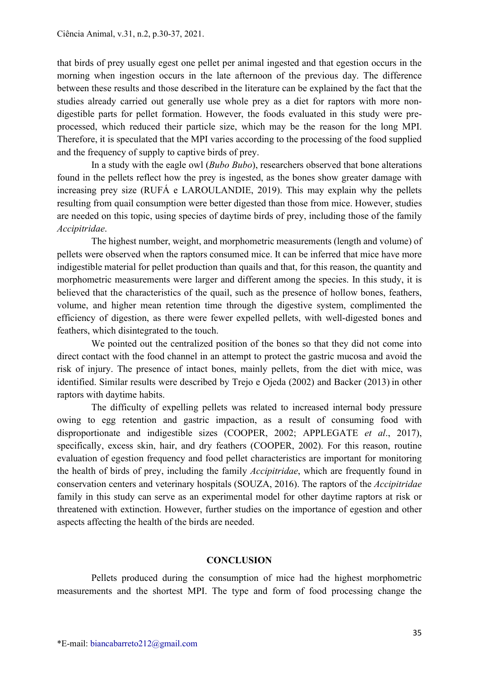that birds of prey usually egest one pellet per animal ingested and that egestion occurs in the morning when ingestion occurs in the late afternoon of the previous day. The difference between these results and those described in the literature can be explained by the fact that the studies already carried out generally use whole prey as a diet for raptors with more nondigestible parts for pellet formation. However, the foods evaluated in this study were preprocessed, which reduced their particle size, which may be the reason for the long MPI. Therefore, it is speculated that the MPI varies according to the processing of the food supplied and the frequency of supply to captive birds of prey.

In a study with the eagle owl (*Bubo Bubo*), researchers observed that bone alterations found in the pellets reflect how the prey is ingested, as the bones show greater damage with increasing prey size (RUFÁ e LAROULANDIE, 2019). This may explain why the pellets resulting from quail consumption were better digested than those from mice. However, studies are needed on this topic, using species of daytime birds of prey, including those of the family Accipitridae.

The highest number, weight, and morphometric measurements (length and volume) of pellets were observed when the raptors consumed mice. It can be inferred that mice have more indigestible material for pellet production than quails and that, for this reason, the quantity and morphometric measurements were larger and different among the species. In this study, it is believed that the characteristics of the quail, such as the presence of hollow bones, feathers, volume, and higher mean retention time through the digestive system, complimented the efficiency of digestion, as there were fewer expelled pellets, with well-digested bones and feathers, which disintegrated to the touch.

We pointed out the centralized position of the bones so that they did not come into direct contact with the food channel in an attempt to protect the gastric mucosa and avoid the risk of injury. The presence of intact bones, mainly pellets, from the diet with mice, was identified. Similar results were described by Trejo e Ojeda (2002) and Backer (2013) in other raptors with daytime habits.

The difficulty of expelling pellets was related to increased internal body pressure owing to egg retention and gastric impaction, as a result of consuming food with disproportionate and indigestible sizes (COOPER, 2002; APPLEGATE et al., 2017), specifically, excess skin, hair, and dry feathers (COOPER, 2002). For this reason, routine evaluation of egestion frequency and food pellet characteristics are important for monitoring the health of birds of prey, including the family Accipitridae, which are frequently found in conservation centers and veterinary hospitals (SOUZA, 2016). The raptors of the Accipitridae family in this study can serve as an experimental model for other daytime raptors at risk or threatened with extinction. However, further studies on the importance of egestion and other aspects affecting the health of the birds are needed.

### **CONCLUSION**

Pellets produced during the consumption of mice had the highest morphometric measurements and the shortest MPI. The type and form of food processing change the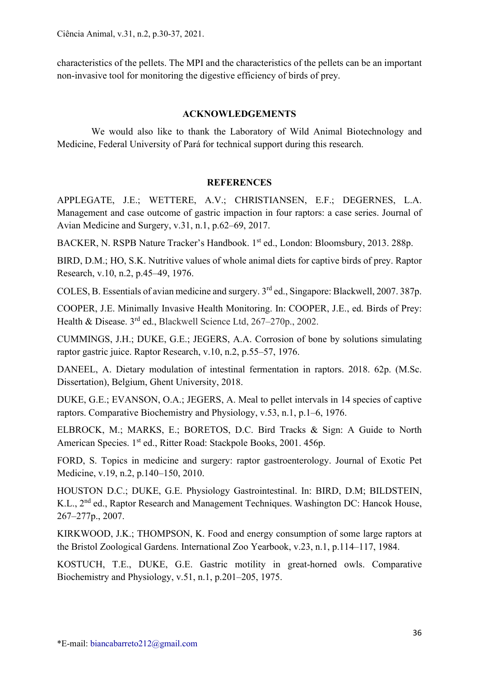Ciência Animal, v.31, n.2, p.30-37, 2021.

characteristics of the pellets. The MPI and the characteristics of the pellets can be an important non-invasive tool for monitoring the digestive efficiency of birds of prey.

# ACKNOWLEDGEMENTS

We would also like to thank the Laboratory of Wild Animal Biotechnology and Medicine, Federal University of Pará for technical support during this research.

# **REFERENCES**

APPLEGATE, J.E.; WETTERE, A.V.; CHRISTIANSEN, E.F.; DEGERNES, L.A. Management and case outcome of gastric impaction in four raptors: a case series. Journal of Avian Medicine and Surgery, v.31, n.1, p.62–69, 2017.

BACKER, N. RSPB Nature Tracker's Handbook. 1<sup>st</sup> ed., London: Bloomsbury, 2013. 288p.

BIRD, D.M.; HO, S.K. Nutritive values of whole animal diets for captive birds of prey. Raptor Research, v.10, n.2, p.45–49, 1976.

COLES, B. Essentials of avian medicine and surgery. 3rd ed., Singapore: Blackwell, 2007. 387p.

COOPER, J.E. Minimally Invasive Health Monitoring. In: COOPER, J.E., ed. Birds of Prey: Health & Disease. 3rd ed., Blackwell Science Ltd, 267–270p., 2002.

CUMMINGS, J.H.; DUKE, G.E.; JEGERS, A.A. Corrosion of bone by solutions simulating raptor gastric juice. Raptor Research, v.10, n.2, p.55–57, 1976.

DANEEL, A. Dietary modulation of intestinal fermentation in raptors. 2018. 62p. (M.Sc. Dissertation), Belgium, Ghent University, 2018.

DUKE, G.E.; EVANSON, O.A.; JEGERS, A. Meal to pellet intervals in 14 species of captive raptors. Comparative Biochemistry and Physiology, v.53, n.1, p.1–6, 1976.

ELBROCK, M.; MARKS, E.; BORETOS, D.C. Bird Tracks & Sign: A Guide to North American Species. 1<sup>st</sup> ed., Ritter Road: Stackpole Books, 2001. 456p.

FORD, S. Topics in medicine and surgery: raptor gastroenterology. Journal of Exotic Pet Medicine, v.19, n.2, p.140–150, 2010.

HOUSTON D.C.; DUKE, G.E. Physiology Gastrointestinal. In: BIRD, D.M; BILDSTEIN, K.L., 2<sup>nd</sup> ed., Raptor Research and Management Techniques. Washington DC: Hancok House, 267–277p., 2007.

KIRKWOOD, J.K.; THOMPSON, K. Food and energy consumption of some large raptors at the Bristol Zoological Gardens. International Zoo Yearbook, v.23, n.1, p.114–117, 1984.

KOSTUCH, T.E., DUKE, G.E. Gastric motility in great-horned owls. Comparative Biochemistry and Physiology, v.51, n.1, p.201–205, 1975.